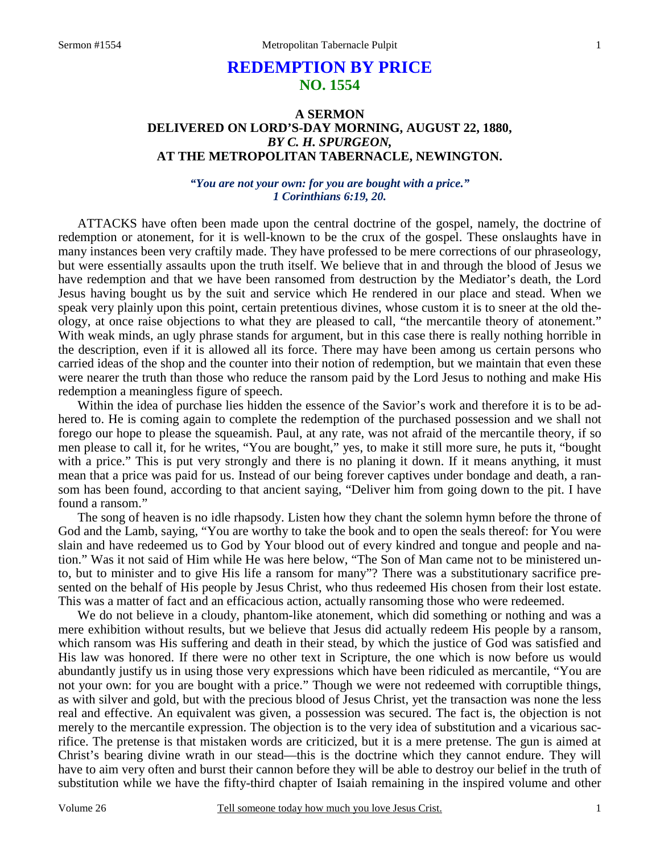# **REDEMPTION BY PRICE NO. 1554**

### **A SERMON DELIVERED ON LORD'S-DAY MORNING, AUGUST 22, 1880,**  *BY C. H. SPURGEON,*  **AT THE METROPOLITAN TABERNACLE, NEWINGTON.**

*"You are not your own: for you are bought with a price." 1 Corinthians 6:19, 20.* 

ATTACKS have often been made upon the central doctrine of the gospel, namely, the doctrine of redemption or atonement, for it is well-known to be the crux of the gospel. These onslaughts have in many instances been very craftily made. They have professed to be mere corrections of our phraseology, but were essentially assaults upon the truth itself. We believe that in and through the blood of Jesus we have redemption and that we have been ransomed from destruction by the Mediator's death, the Lord Jesus having bought us by the suit and service which He rendered in our place and stead. When we speak very plainly upon this point, certain pretentious divines, whose custom it is to sneer at the old theology, at once raise objections to what they are pleased to call, "the mercantile theory of atonement." With weak minds, an ugly phrase stands for argument, but in this case there is really nothing horrible in the description, even if it is allowed all its force. There may have been among us certain persons who carried ideas of the shop and the counter into their notion of redemption, but we maintain that even these were nearer the truth than those who reduce the ransom paid by the Lord Jesus to nothing and make His redemption a meaningless figure of speech.

 Within the idea of purchase lies hidden the essence of the Savior's work and therefore it is to be adhered to. He is coming again to complete the redemption of the purchased possession and we shall not forego our hope to please the squeamish. Paul, at any rate, was not afraid of the mercantile theory, if so men please to call it, for he writes, "You are bought," yes, to make it still more sure, he puts it, "bought with a price." This is put very strongly and there is no planing it down. If it means anything, it must mean that a price was paid for us. Instead of our being forever captives under bondage and death, a ransom has been found, according to that ancient saying, "Deliver him from going down to the pit. I have found a ransom."

 The song of heaven is no idle rhapsody. Listen how they chant the solemn hymn before the throne of God and the Lamb, saying, "You are worthy to take the book and to open the seals thereof: for You were slain and have redeemed us to God by Your blood out of every kindred and tongue and people and nation." Was it not said of Him while He was here below, "The Son of Man came not to be ministered unto, but to minister and to give His life a ransom for many"? There was a substitutionary sacrifice presented on the behalf of His people by Jesus Christ, who thus redeemed His chosen from their lost estate. This was a matter of fact and an efficacious action, actually ransoming those who were redeemed.

 We do not believe in a cloudy, phantom-like atonement, which did something or nothing and was a mere exhibition without results, but we believe that Jesus did actually redeem His people by a ransom, which ransom was His suffering and death in their stead, by which the justice of God was satisfied and His law was honored. If there were no other text in Scripture, the one which is now before us would abundantly justify us in using those very expressions which have been ridiculed as mercantile, "You are not your own: for you are bought with a price." Though we were not redeemed with corruptible things, as with silver and gold, but with the precious blood of Jesus Christ, yet the transaction was none the less real and effective. An equivalent was given, a possession was secured. The fact is, the objection is not merely to the mercantile expression. The objection is to the very idea of substitution and a vicarious sacrifice. The pretense is that mistaken words are criticized, but it is a mere pretense. The gun is aimed at Christ's bearing divine wrath in our stead—this is the doctrine which they cannot endure. They will have to aim very often and burst their cannon before they will be able to destroy our belief in the truth of substitution while we have the fifty-third chapter of Isaiah remaining in the inspired volume and other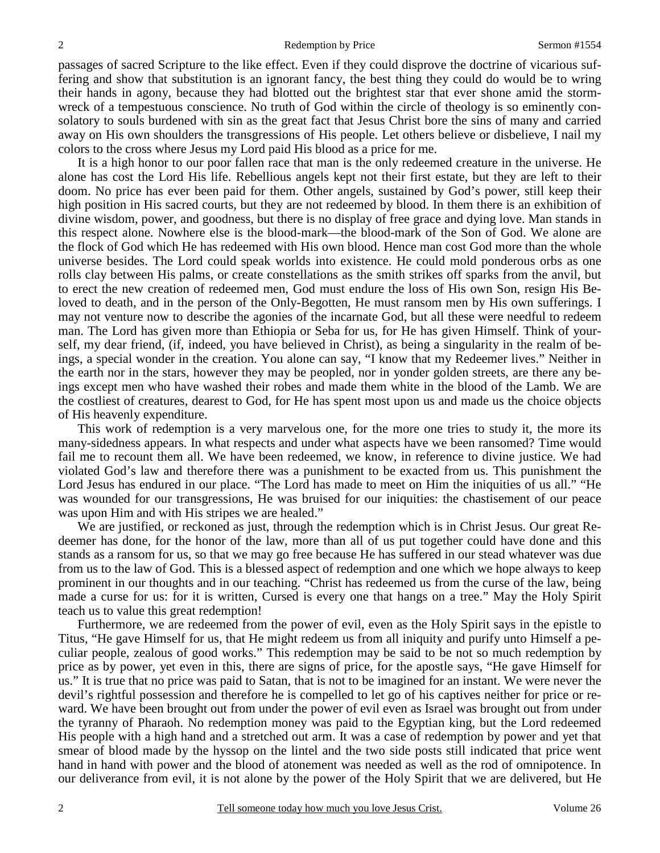passages of sacred Scripture to the like effect. Even if they could disprove the doctrine of vicarious suffering and show that substitution is an ignorant fancy, the best thing they could do would be to wring their hands in agony, because they had blotted out the brightest star that ever shone amid the stormwreck of a tempestuous conscience. No truth of God within the circle of theology is so eminently consolatory to souls burdened with sin as the great fact that Jesus Christ bore the sins of many and carried away on His own shoulders the transgressions of His people. Let others believe or disbelieve, I nail my colors to the cross where Jesus my Lord paid His blood as a price for me.

 It is a high honor to our poor fallen race that man is the only redeemed creature in the universe. He alone has cost the Lord His life. Rebellious angels kept not their first estate, but they are left to their doom. No price has ever been paid for them. Other angels, sustained by God's power, still keep their high position in His sacred courts, but they are not redeemed by blood. In them there is an exhibition of divine wisdom, power, and goodness, but there is no display of free grace and dying love. Man stands in this respect alone. Nowhere else is the blood-mark—the blood-mark of the Son of God. We alone are the flock of God which He has redeemed with His own blood. Hence man cost God more than the whole universe besides. The Lord could speak worlds into existence. He could mold ponderous orbs as one rolls clay between His palms, or create constellations as the smith strikes off sparks from the anvil, but to erect the new creation of redeemed men, God must endure the loss of His own Son, resign His Beloved to death, and in the person of the Only-Begotten, He must ransom men by His own sufferings. I may not venture now to describe the agonies of the incarnate God, but all these were needful to redeem man. The Lord has given more than Ethiopia or Seba for us, for He has given Himself. Think of yourself, my dear friend, (if, indeed, you have believed in Christ), as being a singularity in the realm of beings, a special wonder in the creation. You alone can say, "I know that my Redeemer lives." Neither in the earth nor in the stars, however they may be peopled, nor in yonder golden streets, are there any beings except men who have washed their robes and made them white in the blood of the Lamb. We are the costliest of creatures, dearest to God, for He has spent most upon us and made us the choice objects of His heavenly expenditure.

 This work of redemption is a very marvelous one, for the more one tries to study it, the more its many-sidedness appears. In what respects and under what aspects have we been ransomed? Time would fail me to recount them all. We have been redeemed, we know, in reference to divine justice. We had violated God's law and therefore there was a punishment to be exacted from us. This punishment the Lord Jesus has endured in our place. "The Lord has made to meet on Him the iniquities of us all." "He was wounded for our transgressions, He was bruised for our iniquities: the chastisement of our peace was upon Him and with His stripes we are healed."

 We are justified, or reckoned as just, through the redemption which is in Christ Jesus. Our great Redeemer has done, for the honor of the law, more than all of us put together could have done and this stands as a ransom for us, so that we may go free because He has suffered in our stead whatever was due from us to the law of God. This is a blessed aspect of redemption and one which we hope always to keep prominent in our thoughts and in our teaching. "Christ has redeemed us from the curse of the law, being made a curse for us: for it is written, Cursed is every one that hangs on a tree." May the Holy Spirit teach us to value this great redemption!

 Furthermore, we are redeemed from the power of evil, even as the Holy Spirit says in the epistle to Titus, "He gave Himself for us, that He might redeem us from all iniquity and purify unto Himself a peculiar people, zealous of good works." This redemption may be said to be not so much redemption by price as by power, yet even in this, there are signs of price, for the apostle says, "He gave Himself for us." It is true that no price was paid to Satan, that is not to be imagined for an instant. We were never the devil's rightful possession and therefore he is compelled to let go of his captives neither for price or reward. We have been brought out from under the power of evil even as Israel was brought out from under the tyranny of Pharaoh. No redemption money was paid to the Egyptian king, but the Lord redeemed His people with a high hand and a stretched out arm. It was a case of redemption by power and yet that smear of blood made by the hyssop on the lintel and the two side posts still indicated that price went hand in hand with power and the blood of atonement was needed as well as the rod of omnipotence. In our deliverance from evil, it is not alone by the power of the Holy Spirit that we are delivered, but He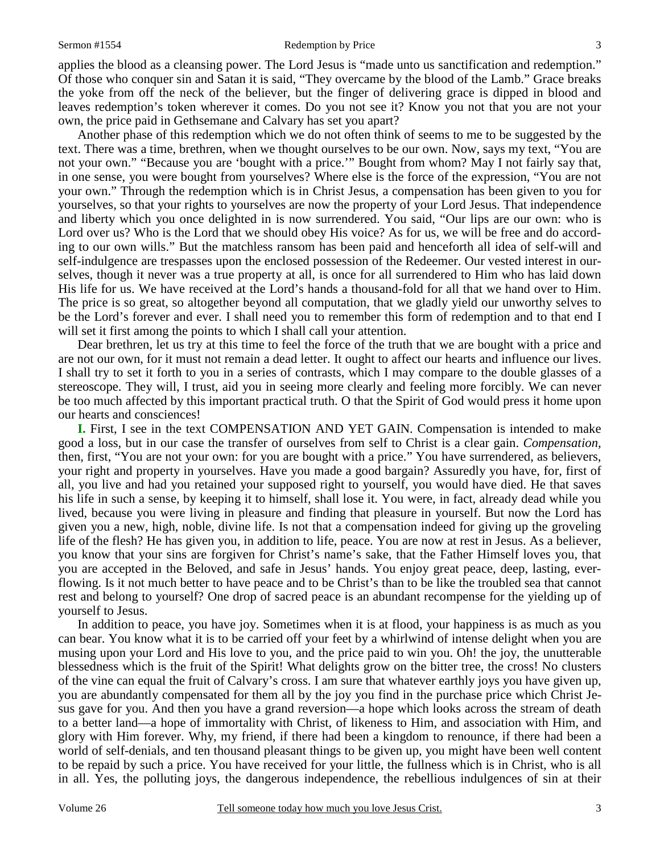applies the blood as a cleansing power. The Lord Jesus is "made unto us sanctification and redemption." Of those who conquer sin and Satan it is said, "They overcame by the blood of the Lamb." Grace breaks the yoke from off the neck of the believer, but the finger of delivering grace is dipped in blood and leaves redemption's token wherever it comes. Do you not see it? Know you not that you are not your own, the price paid in Gethsemane and Calvary has set you apart?

 Another phase of this redemption which we do not often think of seems to me to be suggested by the text. There was a time, brethren, when we thought ourselves to be our own. Now, says my text, "You are not your own." "Because you are 'bought with a price.'" Bought from whom? May I not fairly say that, in one sense, you were bought from yourselves? Where else is the force of the expression, "You are not your own." Through the redemption which is in Christ Jesus, a compensation has been given to you for yourselves, so that your rights to yourselves are now the property of your Lord Jesus. That independence and liberty which you once delighted in is now surrendered. You said, "Our lips are our own: who is Lord over us? Who is the Lord that we should obey His voice? As for us, we will be free and do according to our own wills." But the matchless ransom has been paid and henceforth all idea of self-will and self-indulgence are trespasses upon the enclosed possession of the Redeemer. Our vested interest in ourselves, though it never was a true property at all, is once for all surrendered to Him who has laid down His life for us. We have received at the Lord's hands a thousand-fold for all that we hand over to Him. The price is so great, so altogether beyond all computation, that we gladly yield our unworthy selves to be the Lord's forever and ever. I shall need you to remember this form of redemption and to that end I will set it first among the points to which I shall call your attention.

 Dear brethren, let us try at this time to feel the force of the truth that we are bought with a price and are not our own, for it must not remain a dead letter. It ought to affect our hearts and influence our lives. I shall try to set it forth to you in a series of contrasts, which I may compare to the double glasses of a stereoscope. They will, I trust, aid you in seeing more clearly and feeling more forcibly. We can never be too much affected by this important practical truth. O that the Spirit of God would press it home upon our hearts and consciences!

**I.** First, I see in the text COMPENSATION AND YET GAIN. Compensation is intended to make good a loss, but in our case the transfer of ourselves from self to Christ is a clear gain. *Compensation,* then, first, "You are not your own: for you are bought with a price." You have surrendered, as believers, your right and property in yourselves. Have you made a good bargain? Assuredly you have, for, first of all, you live and had you retained your supposed right to yourself, you would have died. He that saves his life in such a sense, by keeping it to himself, shall lose it. You were, in fact, already dead while you lived, because you were living in pleasure and finding that pleasure in yourself. But now the Lord has given you a new, high, noble, divine life. Is not that a compensation indeed for giving up the groveling life of the flesh? He has given you, in addition to life, peace. You are now at rest in Jesus. As a believer, you know that your sins are forgiven for Christ's name's sake, that the Father Himself loves you, that you are accepted in the Beloved, and safe in Jesus' hands. You enjoy great peace, deep, lasting, everflowing. Is it not much better to have peace and to be Christ's than to be like the troubled sea that cannot rest and belong to yourself? One drop of sacred peace is an abundant recompense for the yielding up of yourself to Jesus.

 In addition to peace, you have joy. Sometimes when it is at flood, your happiness is as much as you can bear. You know what it is to be carried off your feet by a whirlwind of intense delight when you are musing upon your Lord and His love to you, and the price paid to win you. Oh! the joy, the unutterable blessedness which is the fruit of the Spirit! What delights grow on the bitter tree, the cross! No clusters of the vine can equal the fruit of Calvary's cross. I am sure that whatever earthly joys you have given up, you are abundantly compensated for them all by the joy you find in the purchase price which Christ Jesus gave for you. And then you have a grand reversion—a hope which looks across the stream of death to a better land—a hope of immortality with Christ, of likeness to Him, and association with Him, and glory with Him forever. Why, my friend, if there had been a kingdom to renounce, if there had been a world of self-denials, and ten thousand pleasant things to be given up, you might have been well content to be repaid by such a price. You have received for your little, the fullness which is in Christ, who is all in all. Yes, the polluting joys, the dangerous independence, the rebellious indulgences of sin at their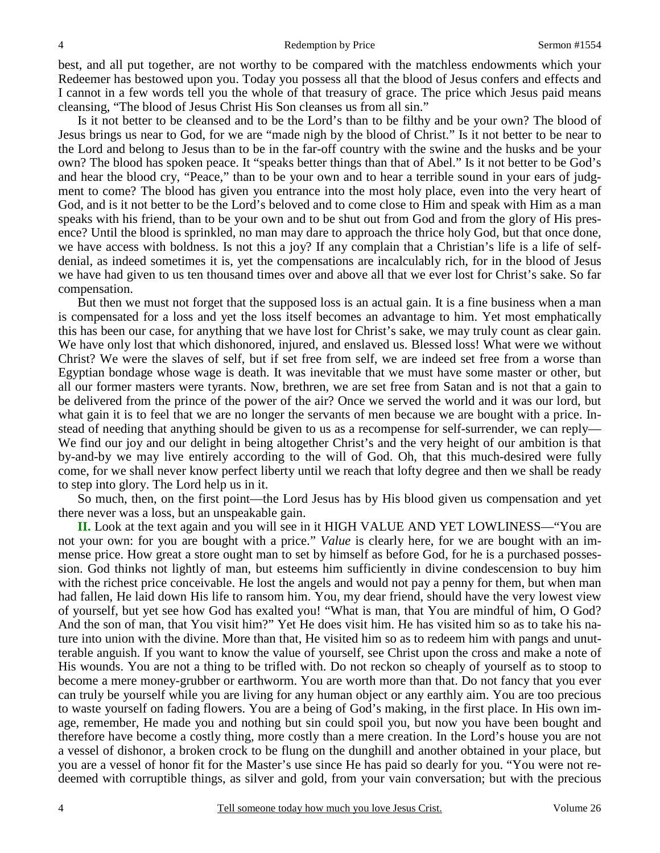best, and all put together, are not worthy to be compared with the matchless endowments which your Redeemer has bestowed upon you. Today you possess all that the blood of Jesus confers and effects and I cannot in a few words tell you the whole of that treasury of grace. The price which Jesus paid means cleansing, "The blood of Jesus Christ His Son cleanses us from all sin."

 Is it not better to be cleansed and to be the Lord's than to be filthy and be your own? The blood of Jesus brings us near to God, for we are "made nigh by the blood of Christ." Is it not better to be near to the Lord and belong to Jesus than to be in the far-off country with the swine and the husks and be your own? The blood has spoken peace. It "speaks better things than that of Abel." Is it not better to be God's and hear the blood cry, "Peace," than to be your own and to hear a terrible sound in your ears of judgment to come? The blood has given you entrance into the most holy place, even into the very heart of God, and is it not better to be the Lord's beloved and to come close to Him and speak with Him as a man speaks with his friend, than to be your own and to be shut out from God and from the glory of His presence? Until the blood is sprinkled, no man may dare to approach the thrice holy God, but that once done, we have access with boldness. Is not this a joy? If any complain that a Christian's life is a life of selfdenial, as indeed sometimes it is, yet the compensations are incalculably rich, for in the blood of Jesus we have had given to us ten thousand times over and above all that we ever lost for Christ's sake. So far compensation.

 But then we must not forget that the supposed loss is an actual gain. It is a fine business when a man is compensated for a loss and yet the loss itself becomes an advantage to him. Yet most emphatically this has been our case, for anything that we have lost for Christ's sake, we may truly count as clear gain. We have only lost that which dishonored, injured, and enslaved us. Blessed loss! What were we without Christ? We were the slaves of self, but if set free from self, we are indeed set free from a worse than Egyptian bondage whose wage is death. It was inevitable that we must have some master or other, but all our former masters were tyrants. Now, brethren, we are set free from Satan and is not that a gain to be delivered from the prince of the power of the air? Once we served the world and it was our lord, but what gain it is to feel that we are no longer the servants of men because we are bought with a price. Instead of needing that anything should be given to us as a recompense for self-surrender, we can reply— We find our joy and our delight in being altogether Christ's and the very height of our ambition is that by-and-by we may live entirely according to the will of God. Oh, that this much-desired were fully come, for we shall never know perfect liberty until we reach that lofty degree and then we shall be ready to step into glory. The Lord help us in it.

 So much, then, on the first point—the Lord Jesus has by His blood given us compensation and yet there never was a loss, but an unspeakable gain.

**II.** Look at the text again and you will see in it HIGH VALUE AND YET LOWLINESS—"You are not your own: for you are bought with a price." *Value* is clearly here, for we are bought with an immense price. How great a store ought man to set by himself as before God, for he is a purchased possession. God thinks not lightly of man, but esteems him sufficiently in divine condescension to buy him with the richest price conceivable. He lost the angels and would not pay a penny for them, but when man had fallen, He laid down His life to ransom him. You, my dear friend, should have the very lowest view of yourself, but yet see how God has exalted you! "What is man, that You are mindful of him, O God? And the son of man, that You visit him?" Yet He does visit him. He has visited him so as to take his nature into union with the divine. More than that, He visited him so as to redeem him with pangs and unutterable anguish. If you want to know the value of yourself, see Christ upon the cross and make a note of His wounds. You are not a thing to be trifled with. Do not reckon so cheaply of yourself as to stoop to become a mere money-grubber or earthworm. You are worth more than that. Do not fancy that you ever can truly be yourself while you are living for any human object or any earthly aim. You are too precious to waste yourself on fading flowers. You are a being of God's making, in the first place. In His own image, remember, He made you and nothing but sin could spoil you, but now you have been bought and therefore have become a costly thing, more costly than a mere creation. In the Lord's house you are not a vessel of dishonor, a broken crock to be flung on the dunghill and another obtained in your place, but you are a vessel of honor fit for the Master's use since He has paid so dearly for you. "You were not redeemed with corruptible things, as silver and gold, from your vain conversation; but with the precious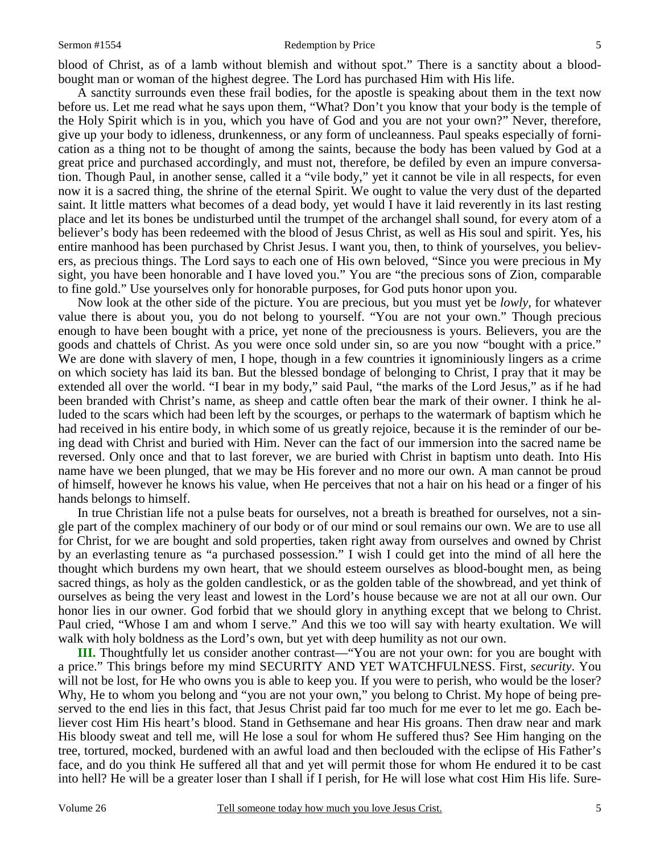#### Sermon #1554 **Redemption by Price** 5

blood of Christ, as of a lamb without blemish and without spot." There is a sanctity about a bloodbought man or woman of the highest degree. The Lord has purchased Him with His life.

 A sanctity surrounds even these frail bodies, for the apostle is speaking about them in the text now before us. Let me read what he says upon them, "What? Don't you know that your body is the temple of the Holy Spirit which is in you, which you have of God and you are not your own?" Never, therefore, give up your body to idleness, drunkenness, or any form of uncleanness. Paul speaks especially of fornication as a thing not to be thought of among the saints, because the body has been valued by God at a great price and purchased accordingly, and must not, therefore, be defiled by even an impure conversation. Though Paul, in another sense, called it a "vile body," yet it cannot be vile in all respects, for even now it is a sacred thing, the shrine of the eternal Spirit. We ought to value the very dust of the departed saint. It little matters what becomes of a dead body, yet would I have it laid reverently in its last resting place and let its bones be undisturbed until the trumpet of the archangel shall sound, for every atom of a believer's body has been redeemed with the blood of Jesus Christ, as well as His soul and spirit. Yes, his entire manhood has been purchased by Christ Jesus. I want you, then, to think of yourselves, you believers, as precious things. The Lord says to each one of His own beloved, "Since you were precious in My sight, you have been honorable and I have loved you." You are "the precious sons of Zion, comparable to fine gold." Use yourselves only for honorable purposes, for God puts honor upon you.

 Now look at the other side of the picture. You are precious, but you must yet be *lowly,* for whatever value there is about you, you do not belong to yourself. "You are not your own." Though precious enough to have been bought with a price, yet none of the preciousness is yours. Believers, you are the goods and chattels of Christ. As you were once sold under sin, so are you now "bought with a price." We are done with slavery of men, I hope, though in a few countries it ignominiously lingers as a crime on which society has laid its ban. But the blessed bondage of belonging to Christ, I pray that it may be extended all over the world. "I bear in my body," said Paul, "the marks of the Lord Jesus," as if he had been branded with Christ's name, as sheep and cattle often bear the mark of their owner. I think he alluded to the scars which had been left by the scourges, or perhaps to the watermark of baptism which he had received in his entire body, in which some of us greatly rejoice, because it is the reminder of our being dead with Christ and buried with Him. Never can the fact of our immersion into the sacred name be reversed. Only once and that to last forever, we are buried with Christ in baptism unto death. Into His name have we been plunged, that we may be His forever and no more our own. A man cannot be proud of himself, however he knows his value, when He perceives that not a hair on his head or a finger of his hands belongs to himself.

 In true Christian life not a pulse beats for ourselves, not a breath is breathed for ourselves, not a single part of the complex machinery of our body or of our mind or soul remains our own. We are to use all for Christ, for we are bought and sold properties, taken right away from ourselves and owned by Christ by an everlasting tenure as "a purchased possession." I wish I could get into the mind of all here the thought which burdens my own heart, that we should esteem ourselves as blood-bought men, as being sacred things, as holy as the golden candlestick, or as the golden table of the showbread, and yet think of ourselves as being the very least and lowest in the Lord's house because we are not at all our own. Our honor lies in our owner. God forbid that we should glory in anything except that we belong to Christ. Paul cried, "Whose I am and whom I serve." And this we too will say with hearty exultation. We will walk with holy boldness as the Lord's own, but yet with deep humility as not our own.

**III.** Thoughtfully let us consider another contrast—"You are not your own: for you are bought with a price." This brings before my mind SECURITY AND YET WATCHFULNESS. First, *security*. You will not be lost, for He who owns you is able to keep you. If you were to perish, who would be the loser? Why, He to whom you belong and "you are not your own," you belong to Christ. My hope of being preserved to the end lies in this fact, that Jesus Christ paid far too much for me ever to let me go. Each believer cost Him His heart's blood. Stand in Gethsemane and hear His groans. Then draw near and mark His bloody sweat and tell me, will He lose a soul for whom He suffered thus? See Him hanging on the tree, tortured, mocked, burdened with an awful load and then beclouded with the eclipse of His Father's face, and do you think He suffered all that and yet will permit those for whom He endured it to be cast into hell? He will be a greater loser than I shall if I perish, for He will lose what cost Him His life. Sure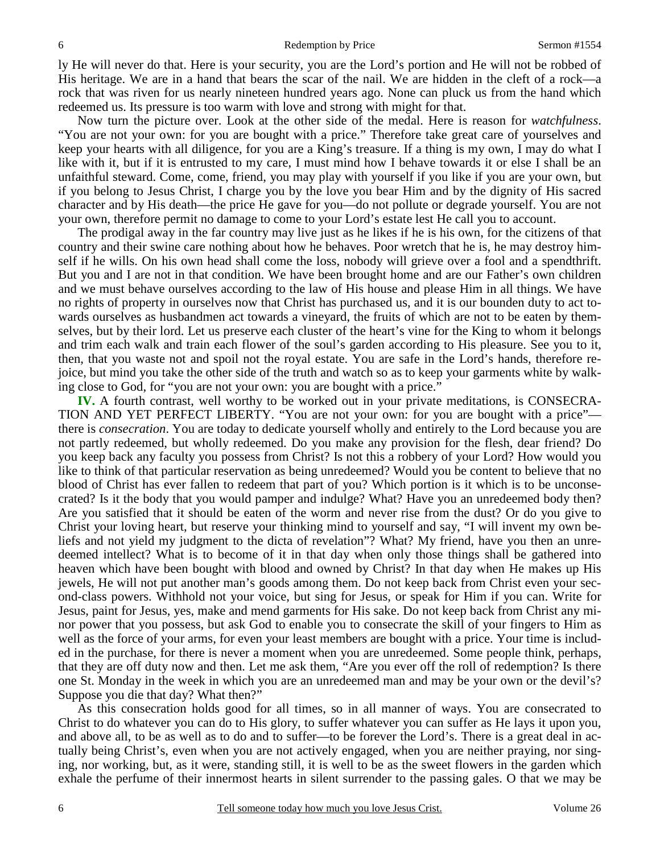ly He will never do that. Here is your security, you are the Lord's portion and He will not be robbed of His heritage. We are in a hand that bears the scar of the nail. We are hidden in the cleft of a rock—a rock that was riven for us nearly nineteen hundred years ago. None can pluck us from the hand which redeemed us. Its pressure is too warm with love and strong with might for that.

 Now turn the picture over. Look at the other side of the medal. Here is reason for *watchfulness*. "You are not your own: for you are bought with a price." Therefore take great care of yourselves and keep your hearts with all diligence, for you are a King's treasure. If a thing is my own, I may do what I like with it, but if it is entrusted to my care, I must mind how I behave towards it or else I shall be an unfaithful steward. Come, come, friend, you may play with yourself if you like if you are your own, but if you belong to Jesus Christ, I charge you by the love you bear Him and by the dignity of His sacred character and by His death—the price He gave for you—do not pollute or degrade yourself. You are not your own, therefore permit no damage to come to your Lord's estate lest He call you to account.

 The prodigal away in the far country may live just as he likes if he is his own, for the citizens of that country and their swine care nothing about how he behaves. Poor wretch that he is, he may destroy himself if he wills. On his own head shall come the loss, nobody will grieve over a fool and a spendthrift. But you and I are not in that condition. We have been brought home and are our Father's own children and we must behave ourselves according to the law of His house and please Him in all things. We have no rights of property in ourselves now that Christ has purchased us, and it is our bounden duty to act towards ourselves as husbandmen act towards a vineyard, the fruits of which are not to be eaten by themselves, but by their lord. Let us preserve each cluster of the heart's vine for the King to whom it belongs and trim each walk and train each flower of the soul's garden according to His pleasure. See you to it, then, that you waste not and spoil not the royal estate. You are safe in the Lord's hands, therefore rejoice, but mind you take the other side of the truth and watch so as to keep your garments white by walking close to God, for "you are not your own: you are bought with a price."

**IV.** A fourth contrast, well worthy to be worked out in your private meditations, is CONSECRA-TION AND YET PERFECT LIBERTY. "You are not your own: for you are bought with a price" there is *consecration*. You are today to dedicate yourself wholly and entirely to the Lord because you are not partly redeemed, but wholly redeemed. Do you make any provision for the flesh, dear friend? Do you keep back any faculty you possess from Christ? Is not this a robbery of your Lord? How would you like to think of that particular reservation as being unredeemed? Would you be content to believe that no blood of Christ has ever fallen to redeem that part of you? Which portion is it which is to be unconsecrated? Is it the body that you would pamper and indulge? What? Have you an unredeemed body then? Are you satisfied that it should be eaten of the worm and never rise from the dust? Or do you give to Christ your loving heart, but reserve your thinking mind to yourself and say, "I will invent my own beliefs and not yield my judgment to the dicta of revelation"? What? My friend, have you then an unredeemed intellect? What is to become of it in that day when only those things shall be gathered into heaven which have been bought with blood and owned by Christ? In that day when He makes up His jewels, He will not put another man's goods among them. Do not keep back from Christ even your second-class powers. Withhold not your voice, but sing for Jesus, or speak for Him if you can. Write for Jesus, paint for Jesus, yes, make and mend garments for His sake. Do not keep back from Christ any minor power that you possess, but ask God to enable you to consecrate the skill of your fingers to Him as well as the force of your arms, for even your least members are bought with a price. Your time is included in the purchase, for there is never a moment when you are unredeemed. Some people think, perhaps, that they are off duty now and then. Let me ask them, "Are you ever off the roll of redemption? Is there one St. Monday in the week in which you are an unredeemed man and may be your own or the devil's? Suppose you die that day? What then?"

As this consecration holds good for all times, so in all manner of ways. You are consecrated to Christ to do whatever you can do to His glory, to suffer whatever you can suffer as He lays it upon you, and above all, to be as well as to do and to suffer—to be forever the Lord's. There is a great deal in actually being Christ's, even when you are not actively engaged, when you are neither praying, nor singing, nor working, but, as it were, standing still, it is well to be as the sweet flowers in the garden which exhale the perfume of their innermost hearts in silent surrender to the passing gales. O that we may be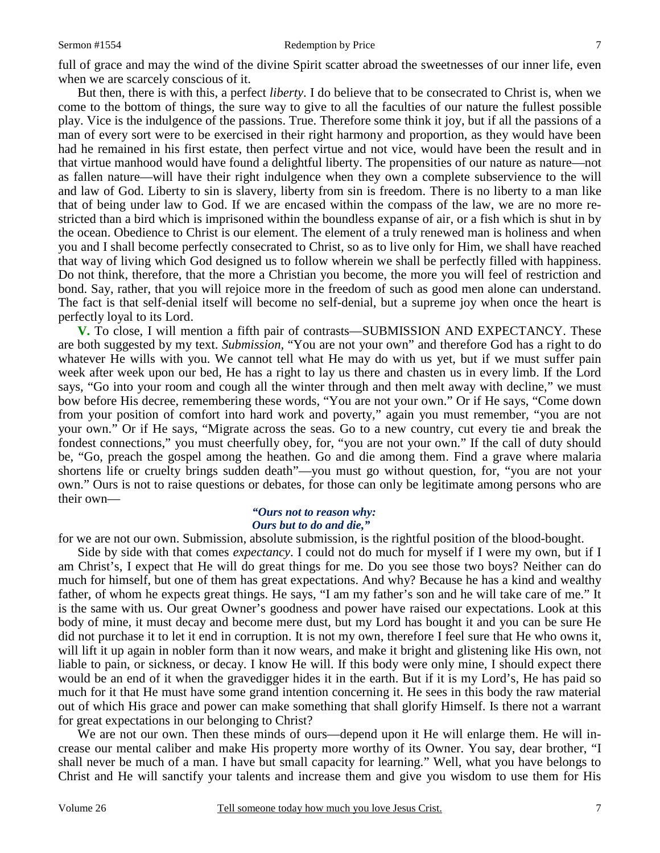full of grace and may the wind of the divine Spirit scatter abroad the sweetnesses of our inner life, even when we are scarcely conscious of it.

 But then, there is with this, a perfect *liberty*. I do believe that to be consecrated to Christ is, when we come to the bottom of things, the sure way to give to all the faculties of our nature the fullest possible play. Vice is the indulgence of the passions. True. Therefore some think it joy, but if all the passions of a man of every sort were to be exercised in their right harmony and proportion, as they would have been had he remained in his first estate, then perfect virtue and not vice, would have been the result and in that virtue manhood would have found a delightful liberty. The propensities of our nature as nature—not as fallen nature—will have their right indulgence when they own a complete subservience to the will and law of God. Liberty to sin is slavery, liberty from sin is freedom. There is no liberty to a man like that of being under law to God. If we are encased within the compass of the law, we are no more restricted than a bird which is imprisoned within the boundless expanse of air, or a fish which is shut in by the ocean. Obedience to Christ is our element. The element of a truly renewed man is holiness and when you and I shall become perfectly consecrated to Christ, so as to live only for Him, we shall have reached that way of living which God designed us to follow wherein we shall be perfectly filled with happiness. Do not think, therefore, that the more a Christian you become, the more you will feel of restriction and bond. Say, rather, that you will rejoice more in the freedom of such as good men alone can understand. The fact is that self-denial itself will become no self-denial, but a supreme joy when once the heart is perfectly loyal to its Lord.

**V.** To close, I will mention a fifth pair of contrasts—SUBMISSION AND EXPECTANCY. These are both suggested by my text. *Submission,* "You are not your own" and therefore God has a right to do whatever He wills with you. We cannot tell what He may do with us yet, but if we must suffer pain week after week upon our bed, He has a right to lay us there and chasten us in every limb. If the Lord says, "Go into your room and cough all the winter through and then melt away with decline," we must bow before His decree, remembering these words, "You are not your own." Or if He says, "Come down from your position of comfort into hard work and poverty," again you must remember, "you are not your own." Or if He says, "Migrate across the seas. Go to a new country, cut every tie and break the fondest connections," you must cheerfully obey, for, "you are not your own." If the call of duty should be, "Go, preach the gospel among the heathen. Go and die among them. Find a grave where malaria shortens life or cruelty brings sudden death"—you must go without question, for, "you are not your own." Ours is not to raise questions or debates, for those can only be legitimate among persons who are their own—

### *"Ours not to reason why: Ours but to do and die,"*

for we are not our own. Submission, absolute submission, is the rightful position of the blood-bought.

 Side by side with that comes *expectancy*. I could not do much for myself if I were my own, but if I am Christ's, I expect that He will do great things for me. Do you see those two boys? Neither can do much for himself, but one of them has great expectations. And why? Because he has a kind and wealthy father, of whom he expects great things. He says, "I am my father's son and he will take care of me." It is the same with us. Our great Owner's goodness and power have raised our expectations. Look at this body of mine, it must decay and become mere dust, but my Lord has bought it and you can be sure He did not purchase it to let it end in corruption. It is not my own, therefore I feel sure that He who owns it, will lift it up again in nobler form than it now wears, and make it bright and glistening like His own, not liable to pain, or sickness, or decay. I know He will. If this body were only mine, I should expect there would be an end of it when the gravedigger hides it in the earth. But if it is my Lord's, He has paid so much for it that He must have some grand intention concerning it. He sees in this body the raw material out of which His grace and power can make something that shall glorify Himself. Is there not a warrant for great expectations in our belonging to Christ?

We are not our own. Then these minds of ours—depend upon it He will enlarge them. He will increase our mental caliber and make His property more worthy of its Owner. You say, dear brother, "I shall never be much of a man. I have but small capacity for learning." Well, what you have belongs to Christ and He will sanctify your talents and increase them and give you wisdom to use them for His